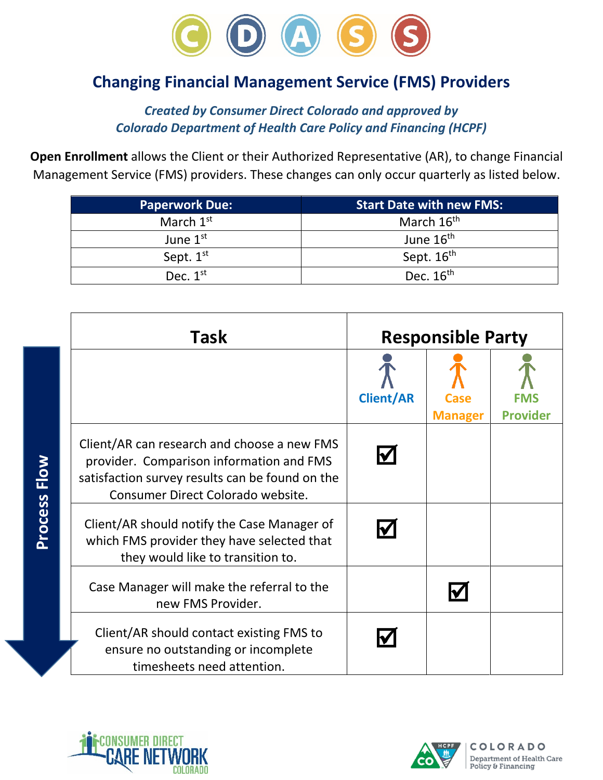

## **Changing Financial Management Service (FMS) Providers**

*Created by Consumer Direct Colorado and approved by Colorado Department of Health Care Policy and Financing (HCPF)*

**Open Enrollment** allows the Client or their Authorized Representative (AR), to change Financial Management Service (FMS) providers. These changes can only occur quarterly as listed below.

| <b>Paperwork Due:</b> | <b>Start Date with new FMS:</b> |  |
|-----------------------|---------------------------------|--|
| March $1^{\rm st}$    | March 16 <sup>th</sup>          |  |
| June $1st$            | June 16 <sup>th</sup>           |  |
| Sept. $1st$           | Sept. 16 <sup>th</sup>          |  |
| Dec. $1^{\text{st}}$  | Dec. $16th$                     |  |

| Task                                                                                                                                                                            | <b>Responsible Party</b> |                |                 |
|---------------------------------------------------------------------------------------------------------------------------------------------------------------------------------|--------------------------|----------------|-----------------|
|                                                                                                                                                                                 | <b>Client/AR</b>         | <b>Manager</b> | <b>Provider</b> |
| Client/AR can research and choose a new FMS<br>provider. Comparison information and FMS<br>satisfaction survey results can be found on the<br>Consumer Direct Colorado website. | IV                       |                |                 |
| Client/AR should notify the Case Manager of<br>which FMS provider they have selected that<br>they would like to transition to.                                                  |                          |                |                 |
| Case Manager will make the referral to the<br>new FMS Provider.                                                                                                                 |                          |                |                 |
| Client/AR should contact existing FMS to<br>ensure no outstanding or incomplete<br>timesheets need attention.                                                                   |                          |                |                 |



**Process Flow**

Process Flow